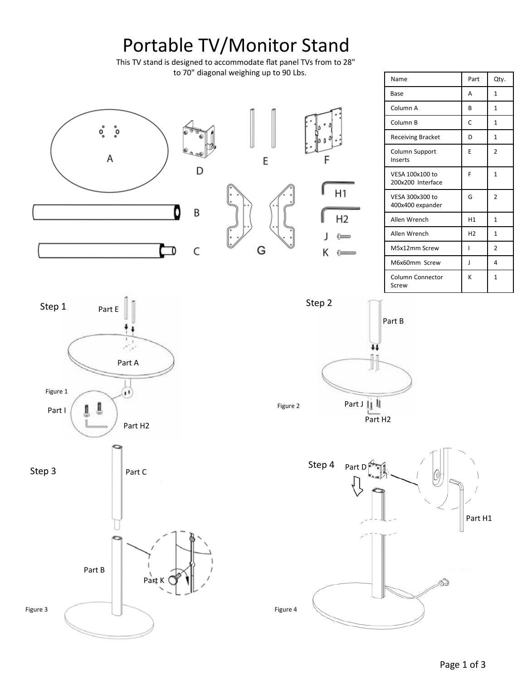# Portable TV/Monitor Stand

This TV stand is designed to accommodate flat panel TVs from to 28" to 70" diagonal weighing up to 90 Lbs.



| Name                                 | Part           | Qty.           |
|--------------------------------------|----------------|----------------|
| Base                                 | A              | 1              |
| Column A                             | B              | $\mathbf{1}$   |
| Column B                             | C              | $\mathbf{1}$   |
| <b>Receiving Bracket</b>             | D              | $\mathbf{1}$   |
| Column Support<br>Inserts            | F              | $\overline{2}$ |
| VESA 100x100 to<br>200x200 Interface | F              | 1              |
| VESA 300x300 to<br>400x400 expander  | G              | $\overline{2}$ |
| Allen Wrench                         | H1             | 1              |
| Allen Wrench                         | H <sub>2</sub> | 1              |
| M5x12mm Screw                        | ı              | $\mathfrak z$  |
| M6x60mm Screw                        | J              | 4              |
| <b>Column Connector</b><br>Screw     | K              | $\mathbf{1}$   |







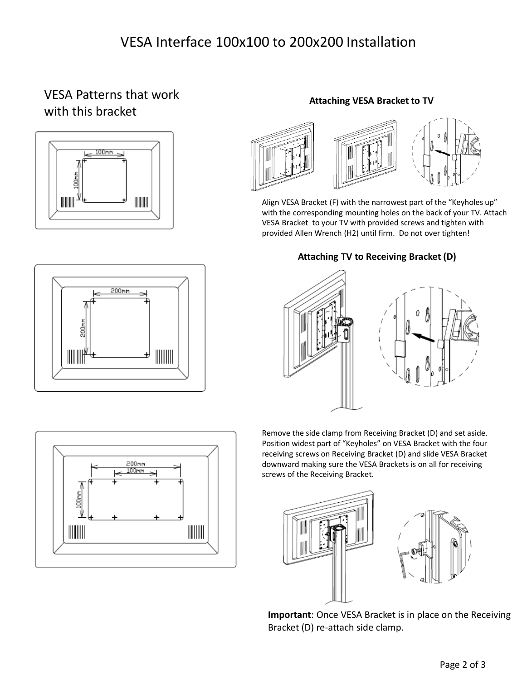## VESA Interface 100x100 to 200x200 Installation

### VESA Patterns that work with this bracket







#### **Attaching VESA Bracket to TV**



Align VESA Bracket (F) with the narrowest part of the "Keyholes up" with the corresponding mounting holes on the back of your TV. Attach VESA Bracket to your TV with provided screws and tighten with provided Allen Wrench (H2) until firm. Do not over tighten!

#### **Attaching TV to Receiving Bracket (D)**





Remove the side clamp from Receiving Bracket (D) and set aside. Position widest part of "Keyholes" on VESA Bracket with the four receiving screws on Receiving Bracket (D) and slide VESA Bracket downward making sure the VESA Brackets is on all for receiving screws of the Receiving Bracket.





**Important**: Once VESA Bracket is in place on the Receiving Bracket (D) re-attach side clamp.